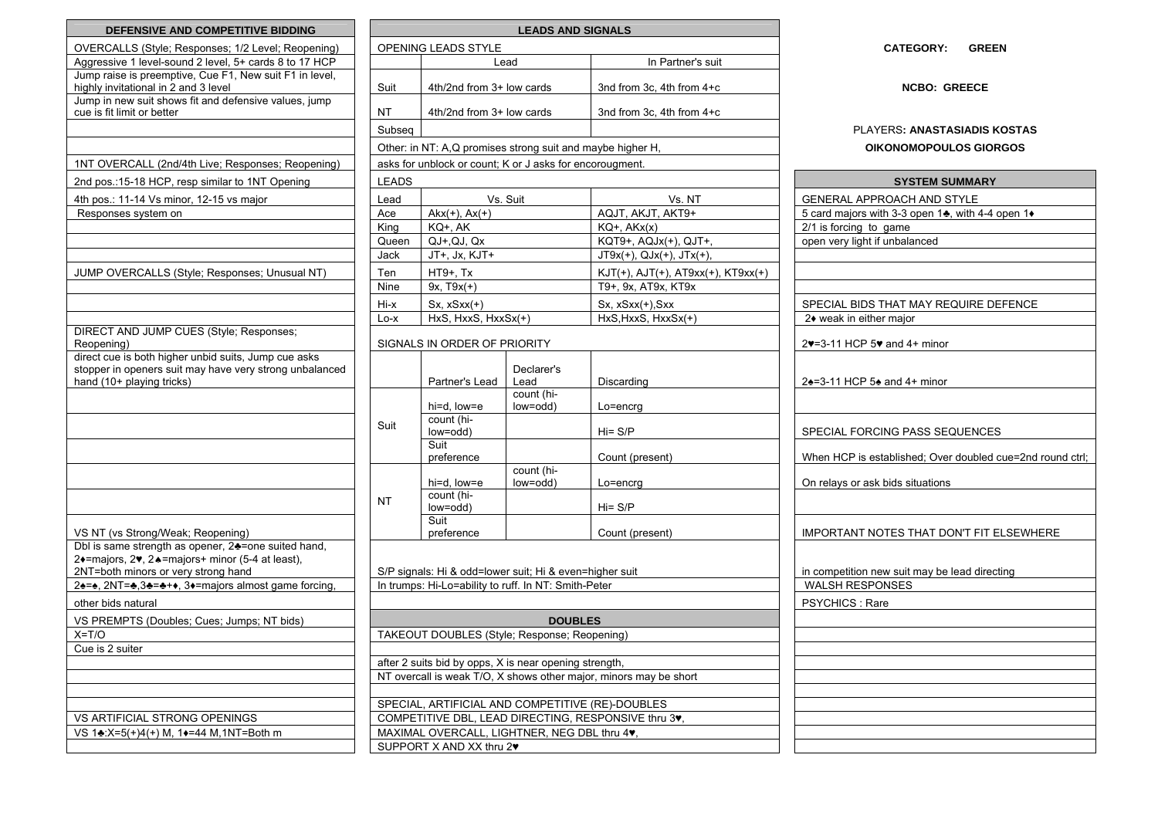| <b>DEFENSIVE AND COMPETITIVE BIDDING</b>                |              |                                                             | <b>LEADS AND SIGNALS</b> |                                                                   |                                                           |
|---------------------------------------------------------|--------------|-------------------------------------------------------------|--------------------------|-------------------------------------------------------------------|-----------------------------------------------------------|
| OVERCALLS (Style; Responses; 1/2 Level; Reopening)      |              | OPENING LEADS STYLE                                         |                          |                                                                   | <b>CATEGORY:</b><br><b>GREEN</b>                          |
| Aggressive 1 level-sound 2 level, 5+ cards 8 to 17 HCP  |              |                                                             | Lead                     | In Partner's suit                                                 |                                                           |
| Jump raise is preemptive, Cue F1, New suit F1 in level, |              |                                                             |                          |                                                                   |                                                           |
| highly invitational in 2 and 3 level                    | Suit         | 4th/2nd from 3+ low cards                                   |                          | 3nd from 3c, 4th from 4+c                                         | <b>NCBO: GREECE</b>                                       |
| Jump in new suit shows fit and defensive values, jump   |              |                                                             |                          |                                                                   |                                                           |
| cue is fit limit or better                              | <b>NT</b>    | 4th/2nd from 3+ low cards                                   |                          | 3nd from 3c, 4th from 4+c                                         |                                                           |
|                                                         | Subseq       |                                                             |                          |                                                                   | <b>PLAYERS: ANASTASIADIS KOSTAS</b>                       |
|                                                         |              | Other: in NT: A, Q promises strong suit and maybe higher H, |                          |                                                                   | OIKONOMOPOULOS GIORGOS                                    |
| 1NT OVERCALL (2nd/4th Live; Responses; Reopening)       |              | asks for unblock or count; K or J asks for encorougment.    |                          |                                                                   |                                                           |
| 2nd pos.: 15-18 HCP, resp similar to 1NT Opening        | <b>LEADS</b> |                                                             |                          |                                                                   | <b>SYSTEM SUMMARY</b>                                     |
| 4th pos.: 11-14 Vs minor, 12-15 vs major                | Lead         |                                                             | Vs. Suit                 | Vs. NT                                                            | GENERAL APPROACH AND STYLE                                |
| Responses system on                                     |              | $Akx(+), Ax(+)$<br>Ace                                      |                          | AQJT, AKJT, AKT9+                                                 | 5 card majors with 3-3 open 14, with 4-4 open 1+          |
|                                                         | King         | KQ+, AK                                                     |                          | $KQ+$ , $AKx(x)$                                                  | 2/1 is forcing to game                                    |
|                                                         | Queen        | $QJ+$ , $QJ$ , $Qx$                                         |                          | KQT9+, AQJx(+), QJT+,                                             | open very light if unbalanced                             |
|                                                         | Jack         | JT+, Jx, KJT+                                               |                          | $JT9x(+)$ , $QJx(+)$ , $JTx(+)$ ,                                 |                                                           |
|                                                         |              |                                                             |                          |                                                                   |                                                           |
| JUMP OVERCALLS (Style; Responses; Unusual NT)           | Ten<br>Nine  | HT9+, Tx<br>$9x, T9x(+)$                                    |                          | KJT(+), AJT(+), AT9xx(+), KT9xx(+)<br>T9+, 9x, AT9x, KT9x         |                                                           |
|                                                         |              |                                                             |                          |                                                                   |                                                           |
|                                                         | Hi-x         | $Sx, xSxx(+)$                                               |                          | Sx, xSxx(+), Sxx                                                  | SPECIAL BIDS THAT MAY REQUIRE DEFENCE                     |
|                                                         | Lo-x         | HxS, HxxS, HxxSx(+)                                         |                          | HxS, HxxS, HxxSx(+)                                               | 2◆ weak in either major                                   |
| DIRECT AND JUMP CUES (Style; Responses;<br>Reopening)   |              | SIGNALS IN ORDER OF PRIORITY                                |                          |                                                                   | 27=3-11 HCP 57 and 4+ minor                               |
| direct cue is both higher unbid suits, Jump cue asks    |              |                                                             |                          |                                                                   |                                                           |
| stopper in openers suit may have very strong unbalanced |              |                                                             | Declarer's               |                                                                   |                                                           |
| hand (10+ playing tricks)                               |              | Partner's Lead                                              | Lead                     | Discarding                                                        | 24=3-11 HCP 54 and 4+ minor                               |
|                                                         |              |                                                             | count (hi-               |                                                                   |                                                           |
|                                                         |              | hi=d, low=e                                                 | low=odd)                 | Lo=encrg                                                          |                                                           |
|                                                         | Suit         | count (hi-<br>low=odd)                                      |                          | $Hi = S/P$                                                        | SPECIAL FORCING PASS SEQUENCES                            |
|                                                         |              | Suit                                                        |                          |                                                                   |                                                           |
|                                                         |              | preference                                                  |                          | Count (present)                                                   | When HCP is established; Over doubled cue=2nd round ctrl; |
|                                                         |              |                                                             | count (hi-               |                                                                   |                                                           |
|                                                         |              | hi=d, low=e                                                 | low=odd)                 | Lo=encrg                                                          | On relays or ask bids situations                          |
|                                                         | <b>NT</b>    | count (hi-                                                  |                          |                                                                   |                                                           |
|                                                         |              | low=odd)<br>Suit                                            |                          | $Hi = S/P$                                                        |                                                           |
| VS NT (vs Strong/Weak; Reopening)                       |              | preference                                                  |                          | Count (present)                                                   | IMPORTANT NOTES THAT DON'T FIT ELSEWHERE                  |
| Dbl is same strength as opener, 24=one suited hand,     |              |                                                             |                          |                                                                   |                                                           |
| 2+=majors, 2v, 2+=majors+ minor (5-4 at least),         |              |                                                             |                          |                                                                   |                                                           |
| 2NT=both minors or very strong hand                     |              | S/P signals: Hi & odd=lower suit; Hi & even=higher suit     |                          |                                                                   | in competition new suit may be lead directing             |
| 2÷=÷, 2NT=÷,3÷=÷++, 3+=majors almost game forcing,      |              | In trumps: Hi-Lo=ability to ruff. In NT: Smith-Peter        |                          |                                                                   | <b>WALSH RESPONSES</b>                                    |
| other bids natural                                      |              |                                                             |                          |                                                                   | PSYCHICS: Rare                                            |
| VS PREMPTS (Doubles; Cues; Jumps; NT bids)              |              |                                                             | <b>DOUBLES</b>           |                                                                   |                                                           |
| $X=$ T/O                                                |              | TAKEOUT DOUBLES (Style; Response; Reopening)                |                          |                                                                   |                                                           |
| Cue is 2 suiter                                         |              |                                                             |                          |                                                                   |                                                           |
|                                                         |              | after 2 suits bid by opps, X is near opening strength,      |                          |                                                                   |                                                           |
|                                                         |              |                                                             |                          | NT overcall is weak T/O, X shows other major, minors may be short |                                                           |
|                                                         |              |                                                             |                          |                                                                   |                                                           |
|                                                         |              |                                                             |                          | SPECIAL, ARTIFICIAL AND COMPETITIVE (RE)-DOUBLES                  |                                                           |
| VS ARTIFICIAL STRONG OPENINGS                           |              | MAXIMAL OVERCALL, LIGHTNER, NEG DBL thru 4v,                |                          | COMPETITIVE DBL, LEAD DIRECTING, RESPONSIVE thru 3v,              |                                                           |
| VS 1♣:X=5(+)4(+) M, 1♦=44 M, 1NT=Both m                 |              |                                                             |                          |                                                                   |                                                           |
|                                                         |              | SUPPORT X AND XX thru 2                                     |                          |                                                                   |                                                           |